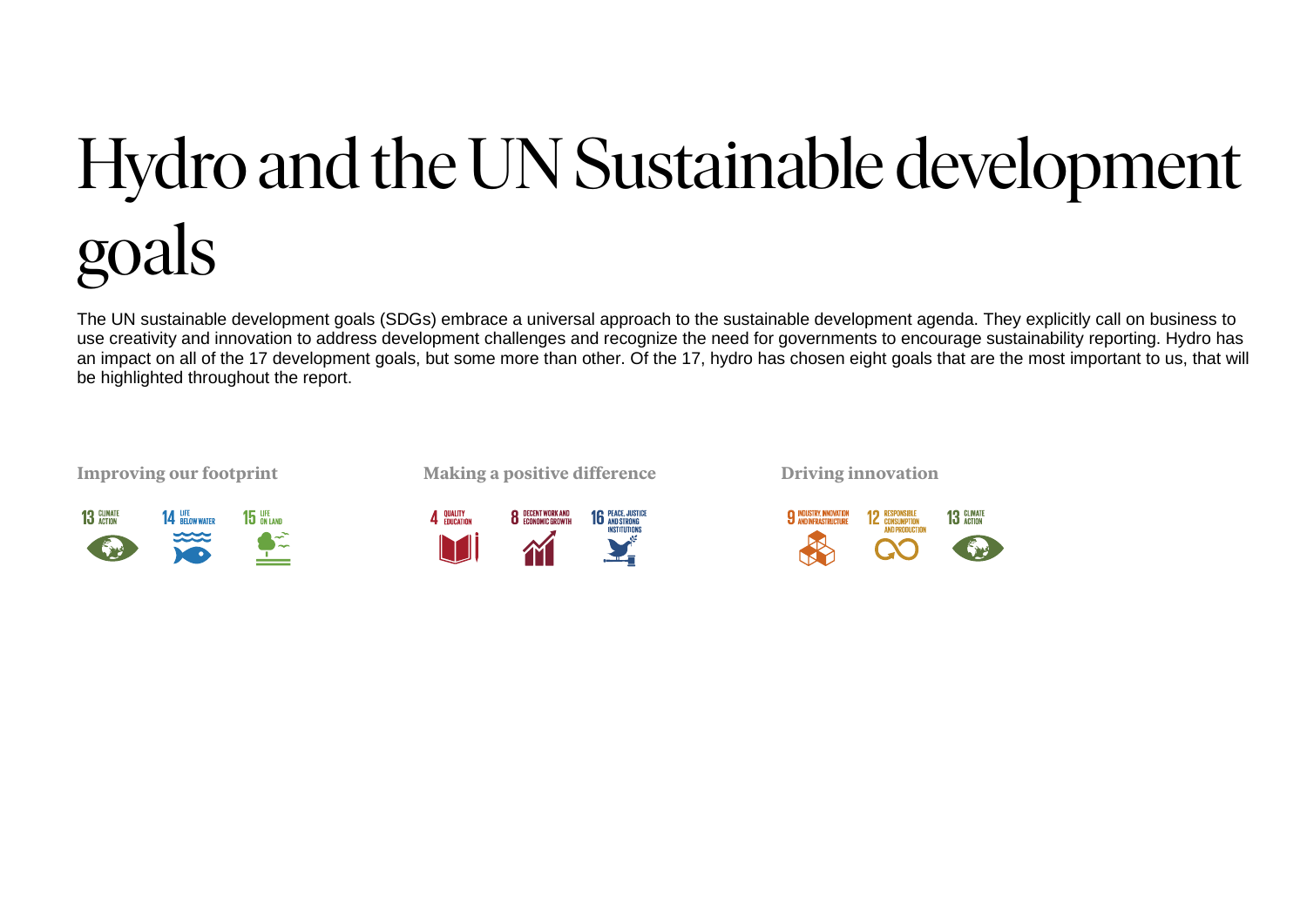## Hydro and the UN Sustainable development goals

The UN sustainable development goals (SDGs) embrace a universal approach to the sustainable development agenda. They explicitly call on business to use creativity and innovation to address development challenges and recognize the need for governments to encourage sustainability reporting. Hydro has an impact on all of the 17 development goals, but some more than other. Of the 17, hydro has chosen eight goals that are the most important to us, that will be highlighted throughout the report.



**Improving our footprint Making a positive difference Driving innovation** 

**8** DECENT WORK AND

**16 PEACE, JUSTICE** 

4 QUALITY

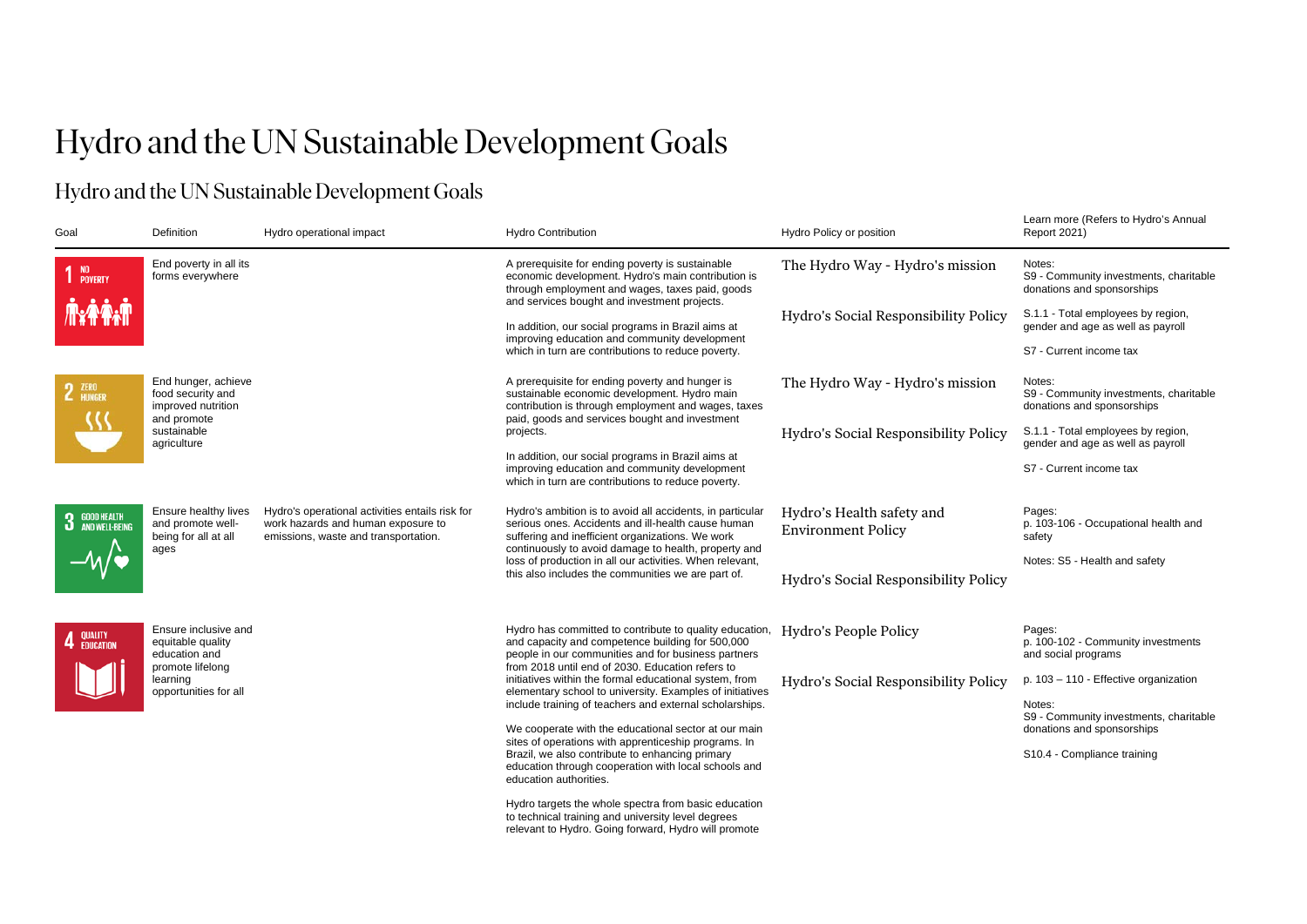## Hydro and the UN Sustainable Development Goals

## Hydro and the UN Sustainable Development Goals

| Goal                                            | Definition                                                                                                          | Hydro operational impact                                                                                                      | <b>Hydro Contribution</b>                                                                                                                                                                                                                                                                                                                    | Hydro Policy or position                               | Learn more (Refers to Hydro's Annual<br><b>Report 2021)</b>                    |
|-------------------------------------------------|---------------------------------------------------------------------------------------------------------------------|-------------------------------------------------------------------------------------------------------------------------------|----------------------------------------------------------------------------------------------------------------------------------------------------------------------------------------------------------------------------------------------------------------------------------------------------------------------------------------------|--------------------------------------------------------|--------------------------------------------------------------------------------|
| 1 NO <sub>POVERTY</sub>                         | End poverty in all its<br>forms everywhere                                                                          |                                                                                                                               | A prerequisite for ending poverty is sustainable<br>economic development. Hydro's main contribution is<br>through employment and wages, taxes paid, goods                                                                                                                                                                                    | The Hydro Way - Hydro's mission                        | Notes:<br>S9 - Community investments, charitable<br>donations and sponsorships |
| <b>TYPAT</b>                                    |                                                                                                                     |                                                                                                                               | and services bought and investment projects.<br>In addition, our social programs in Brazil aims at<br>improving education and community development                                                                                                                                                                                          | Hydro's Social Responsibility Policy                   | S.1.1 - Total employees by region,<br>gender and age as well as payroll        |
|                                                 |                                                                                                                     |                                                                                                                               | which in turn are contributions to reduce poverty.                                                                                                                                                                                                                                                                                           |                                                        | S7 - Current income tax                                                        |
| 2 ZERO                                          | End hunger, achieve<br>food security and<br>improved nutrition<br>and promote                                       |                                                                                                                               | A prerequisite for ending poverty and hunger is<br>sustainable economic development. Hydro main<br>contribution is through employment and wages, taxes                                                                                                                                                                                       | The Hydro Way - Hydro's mission                        | Notes:<br>S9 - Community investments, charitable<br>donations and sponsorships |
|                                                 | sustainable<br>agriculture                                                                                          |                                                                                                                               | paid, goods and services bought and investment<br>projects.                                                                                                                                                                                                                                                                                  | Hydro's Social Responsibility Policy                   | S.1.1 - Total employees by region,<br>gender and age as well as payroll        |
|                                                 |                                                                                                                     |                                                                                                                               | In addition, our social programs in Brazil aims at<br>improving education and community development<br>which in turn are contributions to reduce poverty.                                                                                                                                                                                    |                                                        | S7 - Current income tax                                                        |
| <b>3</b> GOOD HEALTH<br><b>3</b> AND WELL-BEING | Ensure healthy lives<br>and promote well-<br>being for all at all<br>ages                                           | Hydro's operational activities entails risk for<br>work hazards and human exposure to<br>emissions, waste and transportation. | Hydro's ambition is to avoid all accidents, in particular<br>serious ones. Accidents and ill-health cause human<br>suffering and inefficient organizations. We work<br>continuously to avoid damage to health, property and                                                                                                                  | Hydro's Health safety and<br><b>Environment Policy</b> | Pages:<br>p. 103-106 - Occupational health and<br>safety                       |
|                                                 |                                                                                                                     |                                                                                                                               | loss of production in all our activities. When relevant,<br>this also includes the communities we are part of.                                                                                                                                                                                                                               | Hydro's Social Responsibility Policy                   | Notes: S5 - Health and safety                                                  |
| 4 QUALITY                                       | Ensure inclusive and<br>equitable quality<br>education and<br>promote lifelong<br>learning<br>opportunities for all |                                                                                                                               | Hydro has committed to contribute to quality education,<br>and capacity and competence building for 500,000<br>people in our communities and for business partners<br>from 2018 until end of 2030. Education refers to<br>initiatives within the formal educational system, from<br>elementary school to university. Examples of initiatives | Hydro's People Policy                                  | Pages:<br>p. 100-102 - Community investments<br>and social programs            |
|                                                 |                                                                                                                     |                                                                                                                               |                                                                                                                                                                                                                                                                                                                                              | Hydro's Social Responsibility Policy                   | p. 103 - 110 - Effective organization                                          |
|                                                 |                                                                                                                     |                                                                                                                               | include training of teachers and external scholarships.<br>We cooperate with the educational sector at our main                                                                                                                                                                                                                              |                                                        | Notes:<br>S9 - Community investments, charitable<br>donations and sponsorships |
|                                                 |                                                                                                                     |                                                                                                                               | sites of operations with apprenticeship programs. In<br>Brazil, we also contribute to enhancing primary<br>education through cooperation with local schools and<br>education authorities.                                                                                                                                                    |                                                        | S10.4 - Compliance training                                                    |
|                                                 |                                                                                                                     |                                                                                                                               | Hydro targets the whole spectra from basic education<br>to technical training and university level degrees<br>relevant to Hydro. Going forward, Hydro will promote                                                                                                                                                                           |                                                        |                                                                                |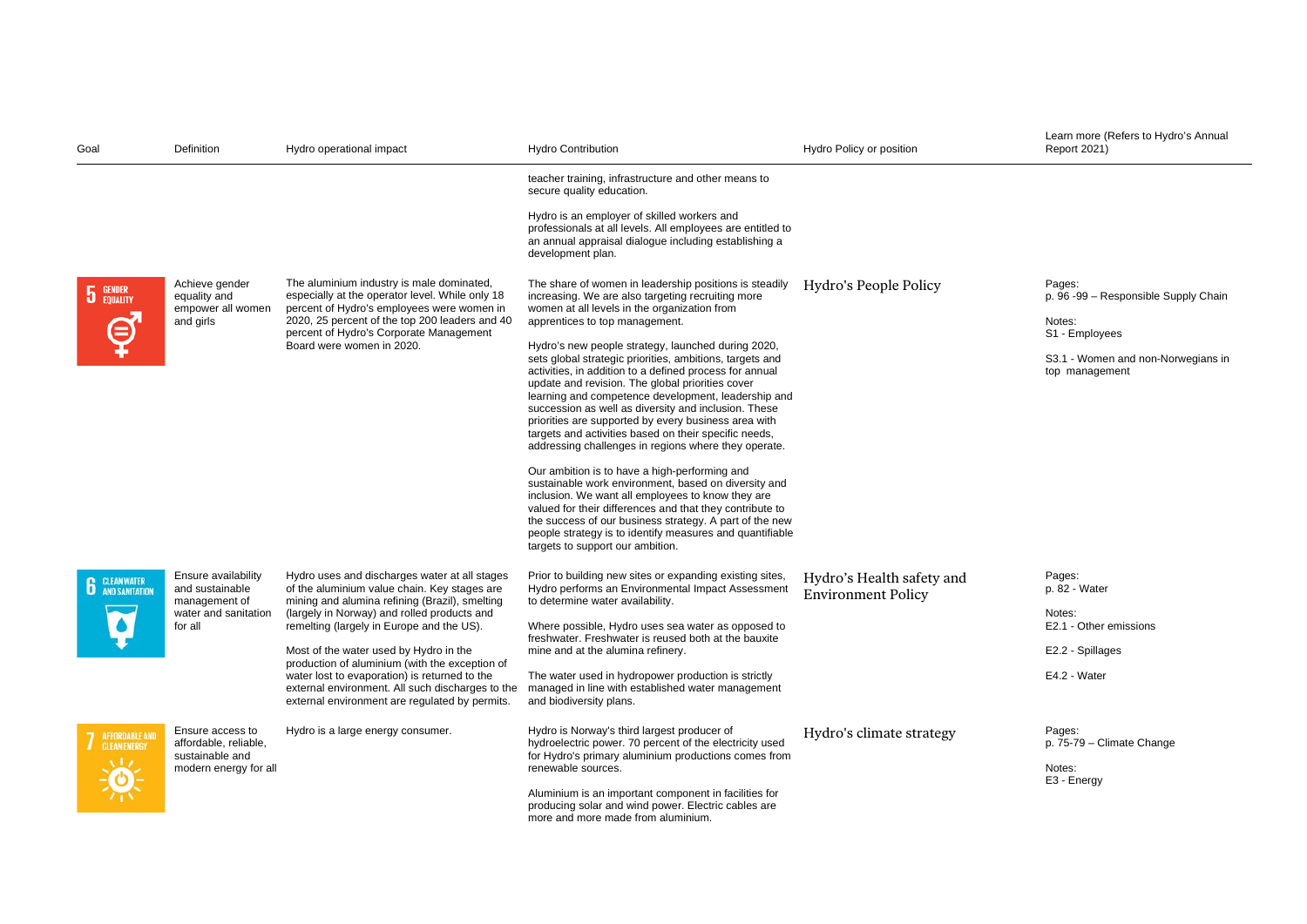| Goal                                   | Definition                                                                                 | Hydro operational impact                                                                                                                                                                                                                                                                                                                                                                                                                                                                       | <b>Hydro Contribution</b>                                                                                                                                                                                                                                                                                                                                                                                                                                                                                                                                                                                                                                                                                                                                                                                                                                                                                                                                                                                                                                                                                   | Hydro Policy or position                               | Learn more (Refers to Hydro's Annual<br>Report 2021)                                                                               |
|----------------------------------------|--------------------------------------------------------------------------------------------|------------------------------------------------------------------------------------------------------------------------------------------------------------------------------------------------------------------------------------------------------------------------------------------------------------------------------------------------------------------------------------------------------------------------------------------------------------------------------------------------|-------------------------------------------------------------------------------------------------------------------------------------------------------------------------------------------------------------------------------------------------------------------------------------------------------------------------------------------------------------------------------------------------------------------------------------------------------------------------------------------------------------------------------------------------------------------------------------------------------------------------------------------------------------------------------------------------------------------------------------------------------------------------------------------------------------------------------------------------------------------------------------------------------------------------------------------------------------------------------------------------------------------------------------------------------------------------------------------------------------|--------------------------------------------------------|------------------------------------------------------------------------------------------------------------------------------------|
|                                        |                                                                                            |                                                                                                                                                                                                                                                                                                                                                                                                                                                                                                | teacher training, infrastructure and other means to<br>secure quality education.                                                                                                                                                                                                                                                                                                                                                                                                                                                                                                                                                                                                                                                                                                                                                                                                                                                                                                                                                                                                                            |                                                        |                                                                                                                                    |
|                                        |                                                                                            |                                                                                                                                                                                                                                                                                                                                                                                                                                                                                                | Hydro is an employer of skilled workers and<br>professionals at all levels. All employees are entitled to<br>an annual appraisal dialogue including establishing a<br>development plan.                                                                                                                                                                                                                                                                                                                                                                                                                                                                                                                                                                                                                                                                                                                                                                                                                                                                                                                     |                                                        |                                                                                                                                    |
| <b>5</b> GENDER                        | Achieve gender<br>equality and<br>empower all women<br>and girls                           | The aluminium industry is male dominated,<br>especially at the operator level. While only 18<br>percent of Hydro's employees were women in<br>2020, 25 percent of the top 200 leaders and 40<br>percent of Hydro's Corporate Management<br>Board were women in 2020.                                                                                                                                                                                                                           | The share of women in leadership positions is steadily<br>increasing. We are also targeting recruiting more<br>women at all levels in the organization from<br>apprentices to top management.<br>Hydro's new people strategy, launched during 2020,<br>sets global strategic priorities, ambitions, targets and<br>activities, in addition to a defined process for annual<br>update and revision. The global priorities cover<br>learning and competence development, leadership and<br>succession as well as diversity and inclusion. These<br>priorities are supported by every business area with<br>targets and activities based on their specific needs,<br>addressing challenges in regions where they operate.<br>Our ambition is to have a high-performing and<br>sustainable work environment, based on diversity and<br>inclusion. We want all employees to know they are<br>valued for their differences and that they contribute to<br>the success of our business strategy. A part of the new<br>people strategy is to identify measures and quantifiable<br>targets to support our ambition. | Hydro's People Policy                                  | Pages:<br>p. 96 -99 - Responsible Supply Chain<br>Notes:<br>S1 - Employees<br>S3.1 - Women and non-Norwegians in<br>top management |
| <b>6</b> CLEAN WATER                   | Ensure availability<br>and sustainable<br>management of<br>water and sanitation<br>for all | Hydro uses and discharges water at all stages<br>of the aluminium value chain. Key stages are<br>mining and alumina refining (Brazil), smelting<br>(largely in Norway) and rolled products and<br>remelting (largely in Europe and the US).<br>Most of the water used by Hydro in the<br>production of aluminium (with the exception of<br>water lost to evaporation) is returned to the<br>external environment. All such discharges to the<br>external environment are regulated by permits. | Prior to building new sites or expanding existing sites,<br>Hydro performs an Environmental Impact Assessment<br>to determine water availability.<br>Where possible, Hydro uses sea water as opposed to<br>freshwater. Freshwater is reused both at the bauxite<br>mine and at the alumina refinery.<br>The water used in hydropower production is strictly<br>managed in line with established water management<br>and biodiversity plans.                                                                                                                                                                                                                                                                                                                                                                                                                                                                                                                                                                                                                                                                 | Hydro's Health safety and<br><b>Environment Policy</b> | Pages:<br>p. 82 - Water<br>Notes:<br>E2.1 - Other emissions<br>E2.2 - Spillages<br>E4.2 - Water                                    |
| <b>7</b> AFFORDABLE AND<br>$\sqrt{17}$ | Ensure access to<br>affordable, reliable,<br>sustainable and<br>modern energy for all      | Hydro is a large energy consumer.                                                                                                                                                                                                                                                                                                                                                                                                                                                              | Hydro is Norway's third largest producer of<br>hydroelectric power. 70 percent of the electricity used<br>for Hydro's primary aluminium productions comes from<br>renewable sources.<br>Aluminium is an important component in facilities for<br>producing solar and wind power. Electric cables are<br>more and more made from aluminium.                                                                                                                                                                                                                                                                                                                                                                                                                                                                                                                                                                                                                                                                                                                                                                  | Hydro's climate strategy                               | Pages:<br>p. 75-79 - Climate Change<br>Notes:<br>E3 - Energy                                                                       |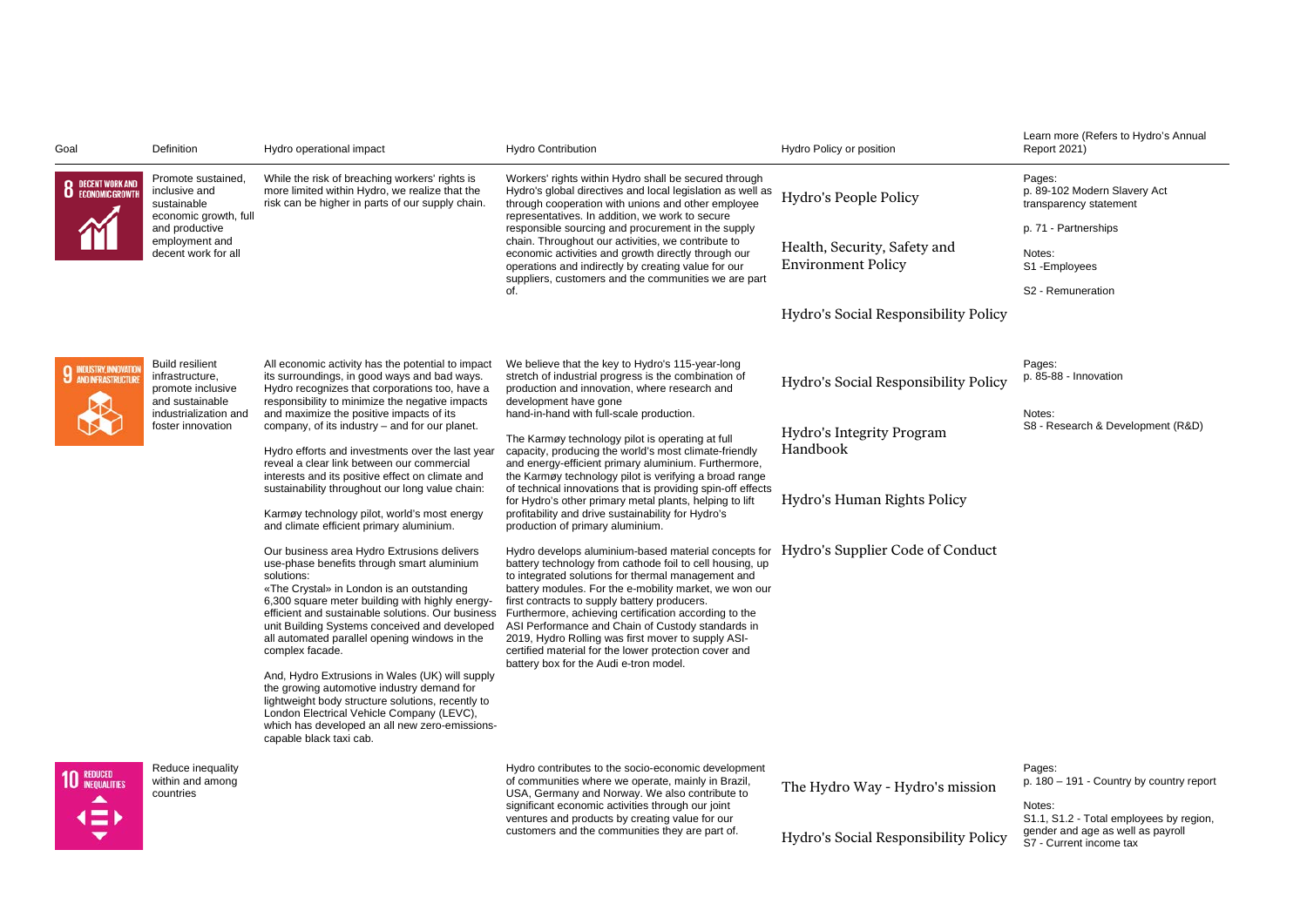| Goal                                                      | Definition                                                                        | Hydro operational impact                                                                                                                                                                                                                                                                                                                                                                                                                                                                                                                                                                                                                                                                                                                                                             | <b>Hydro Contribution</b>                                                                                                                                                                                                                                                                                                                                                                                                                                                                                                                                                                                                                                                                                                                                                                                                                                                                                                                                                                                                                              | Hydro Policy or position                                  | Learn more (Refers to Hydro's Annual<br>Report 2021)                                                    |
|-----------------------------------------------------------|-----------------------------------------------------------------------------------|--------------------------------------------------------------------------------------------------------------------------------------------------------------------------------------------------------------------------------------------------------------------------------------------------------------------------------------------------------------------------------------------------------------------------------------------------------------------------------------------------------------------------------------------------------------------------------------------------------------------------------------------------------------------------------------------------------------------------------------------------------------------------------------|--------------------------------------------------------------------------------------------------------------------------------------------------------------------------------------------------------------------------------------------------------------------------------------------------------------------------------------------------------------------------------------------------------------------------------------------------------------------------------------------------------------------------------------------------------------------------------------------------------------------------------------------------------------------------------------------------------------------------------------------------------------------------------------------------------------------------------------------------------------------------------------------------------------------------------------------------------------------------------------------------------------------------------------------------------|-----------------------------------------------------------|---------------------------------------------------------------------------------------------------------|
| <b>8</b> DECENT WORK AND                                  | Promote sustained,<br>inclusive and<br>sustainable                                | While the risk of breaching workers' rights is<br>more limited within Hydro, we realize that the<br>risk can be higher in parts of our supply chain.                                                                                                                                                                                                                                                                                                                                                                                                                                                                                                                                                                                                                                 | Workers' rights within Hydro shall be secured through<br>Hydro's global directives and local legislation as well as<br>through cooperation with unions and other employee                                                                                                                                                                                                                                                                                                                                                                                                                                                                                                                                                                                                                                                                                                                                                                                                                                                                              | Hydro's People Policy                                     | Pages:<br>p. 89-102 Modern Slavery Act<br>transparency statement                                        |
|                                                           | economic growth, full<br>and productive                                           |                                                                                                                                                                                                                                                                                                                                                                                                                                                                                                                                                                                                                                                                                                                                                                                      | representatives. In addition, we work to secure<br>responsible sourcing and procurement in the supply                                                                                                                                                                                                                                                                                                                                                                                                                                                                                                                                                                                                                                                                                                                                                                                                                                                                                                                                                  |                                                           | p. 71 - Partnerships                                                                                    |
|                                                           | employment and<br>decent work for all                                             |                                                                                                                                                                                                                                                                                                                                                                                                                                                                                                                                                                                                                                                                                                                                                                                      | chain. Throughout our activities, we contribute to<br>economic activities and growth directly through our<br>operations and indirectly by creating value for our                                                                                                                                                                                                                                                                                                                                                                                                                                                                                                                                                                                                                                                                                                                                                                                                                                                                                       | Health, Security, Safety and<br><b>Environment Policy</b> | Notes:<br>S1-Employees                                                                                  |
|                                                           |                                                                                   |                                                                                                                                                                                                                                                                                                                                                                                                                                                                                                                                                                                                                                                                                                                                                                                      | suppliers, customers and the communities we are part<br>of.                                                                                                                                                                                                                                                                                                                                                                                                                                                                                                                                                                                                                                                                                                                                                                                                                                                                                                                                                                                            |                                                           | S2 - Remuneration                                                                                       |
|                                                           |                                                                                   |                                                                                                                                                                                                                                                                                                                                                                                                                                                                                                                                                                                                                                                                                                                                                                                      |                                                                                                                                                                                                                                                                                                                                                                                                                                                                                                                                                                                                                                                                                                                                                                                                                                                                                                                                                                                                                                                        | Hydro's Social Responsibility Policy                      |                                                                                                         |
| <b>INDUSTRY, INNOVATION</b><br><b>J</b> ANDINFRASTRUCTURI | <b>Build resilient</b><br>infrastructure,<br>promote inclusive<br>and sustainable | All economic activity has the potential to impact<br>its surroundings, in good ways and bad ways.<br>Hydro recognizes that corporations too, have a<br>responsibility to minimize the negative impacts                                                                                                                                                                                                                                                                                                                                                                                                                                                                                                                                                                               | We believe that the key to Hydro's 115-year-long<br>stretch of industrial progress is the combination of<br>production and innovation, where research and<br>development have gone                                                                                                                                                                                                                                                                                                                                                                                                                                                                                                                                                                                                                                                                                                                                                                                                                                                                     | Hydro's Social Responsibility Policy                      | Pages:<br>p. 85-88 - Innovation<br>Notes:<br>S8 - Research & Development (R&D)                          |
|                                                           | industrialization and<br>foster innovation                                        | and maximize the positive impacts of its<br>company, of its industry - and for our planet.<br>Hydro efforts and investments over the last year<br>reveal a clear link between our commercial<br>interests and its positive effect on climate and<br>sustainability throughout our long value chain:<br>Karmøy technology pilot, world's most energy<br>and climate efficient primary aluminium.<br>Our business area Hydro Extrusions delivers<br>use-phase benefits through smart aluminium<br>solutions:<br>«The Crystal» in London is an outstanding<br>6,300 square meter building with highly energy-<br>efficient and sustainable solutions. Our business<br>unit Building Systems conceived and developed<br>all automated parallel opening windows in the<br>complex facade. | hand-in-hand with full-scale production.<br>The Karmøy technology pilot is operating at full<br>capacity, producing the world's most climate-friendly<br>and energy-efficient primary aluminium. Furthermore,<br>the Karmøy technology pilot is verifying a broad range<br>of technical innovations that is providing spin-off effects<br>for Hydro's other primary metal plants, helping to lift<br>profitability and drive sustainability for Hydro's<br>production of primary aluminium.<br>Hydro develops aluminium-based material concepts for<br>battery technology from cathode foil to cell housing, up<br>to integrated solutions for thermal management and<br>battery modules. For the e-mobility market, we won our<br>first contracts to supply battery producers.<br>Furthermore, achieving certification according to the<br>ASI Performance and Chain of Custody standards in<br>2019, Hydro Rolling was first mover to supply ASI-<br>certified material for the lower protection cover and<br>battery box for the Audi e-tron model. | Hydro's Integrity Program<br>Handbook                     |                                                                                                         |
|                                                           |                                                                                   |                                                                                                                                                                                                                                                                                                                                                                                                                                                                                                                                                                                                                                                                                                                                                                                      |                                                                                                                                                                                                                                                                                                                                                                                                                                                                                                                                                                                                                                                                                                                                                                                                                                                                                                                                                                                                                                                        | Hydro's Human Rights Policy                               |                                                                                                         |
|                                                           |                                                                                   |                                                                                                                                                                                                                                                                                                                                                                                                                                                                                                                                                                                                                                                                                                                                                                                      |                                                                                                                                                                                                                                                                                                                                                                                                                                                                                                                                                                                                                                                                                                                                                                                                                                                                                                                                                                                                                                                        | Hydro's Supplier Code of Conduct                          |                                                                                                         |
|                                                           |                                                                                   | And, Hydro Extrusions in Wales (UK) will supply<br>the growing automotive industry demand for<br>lightweight body structure solutions, recently to<br>London Electrical Vehicle Company (LEVC),<br>which has developed an all new zero-emissions-<br>capable black taxi cab.                                                                                                                                                                                                                                                                                                                                                                                                                                                                                                         |                                                                                                                                                                                                                                                                                                                                                                                                                                                                                                                                                                                                                                                                                                                                                                                                                                                                                                                                                                                                                                                        |                                                           |                                                                                                         |
| <b>REDUCED</b><br><b>INEQUALITIES</b>                     | Reduce inequality<br>within and among<br>countries                                |                                                                                                                                                                                                                                                                                                                                                                                                                                                                                                                                                                                                                                                                                                                                                                                      | Hydro contributes to the socio-economic development<br>of communities where we operate, mainly in Brazil,<br>USA, Germany and Norway. We also contribute to<br>significant economic activities through our joint                                                                                                                                                                                                                                                                                                                                                                                                                                                                                                                                                                                                                                                                                                                                                                                                                                       | The Hydro Way - Hydro's mission                           | Pages:<br>p. 180 - 191 - Country by country report<br>Notes:                                            |
|                                                           |                                                                                   |                                                                                                                                                                                                                                                                                                                                                                                                                                                                                                                                                                                                                                                                                                                                                                                      | ventures and products by creating value for our<br>customers and the communities they are part of.                                                                                                                                                                                                                                                                                                                                                                                                                                                                                                                                                                                                                                                                                                                                                                                                                                                                                                                                                     | Hydro's Social Responsibility Policy                      | S1.1, S1.2 - Total employees by region,<br>gender and age as well as payroll<br>S7 - Current income tax |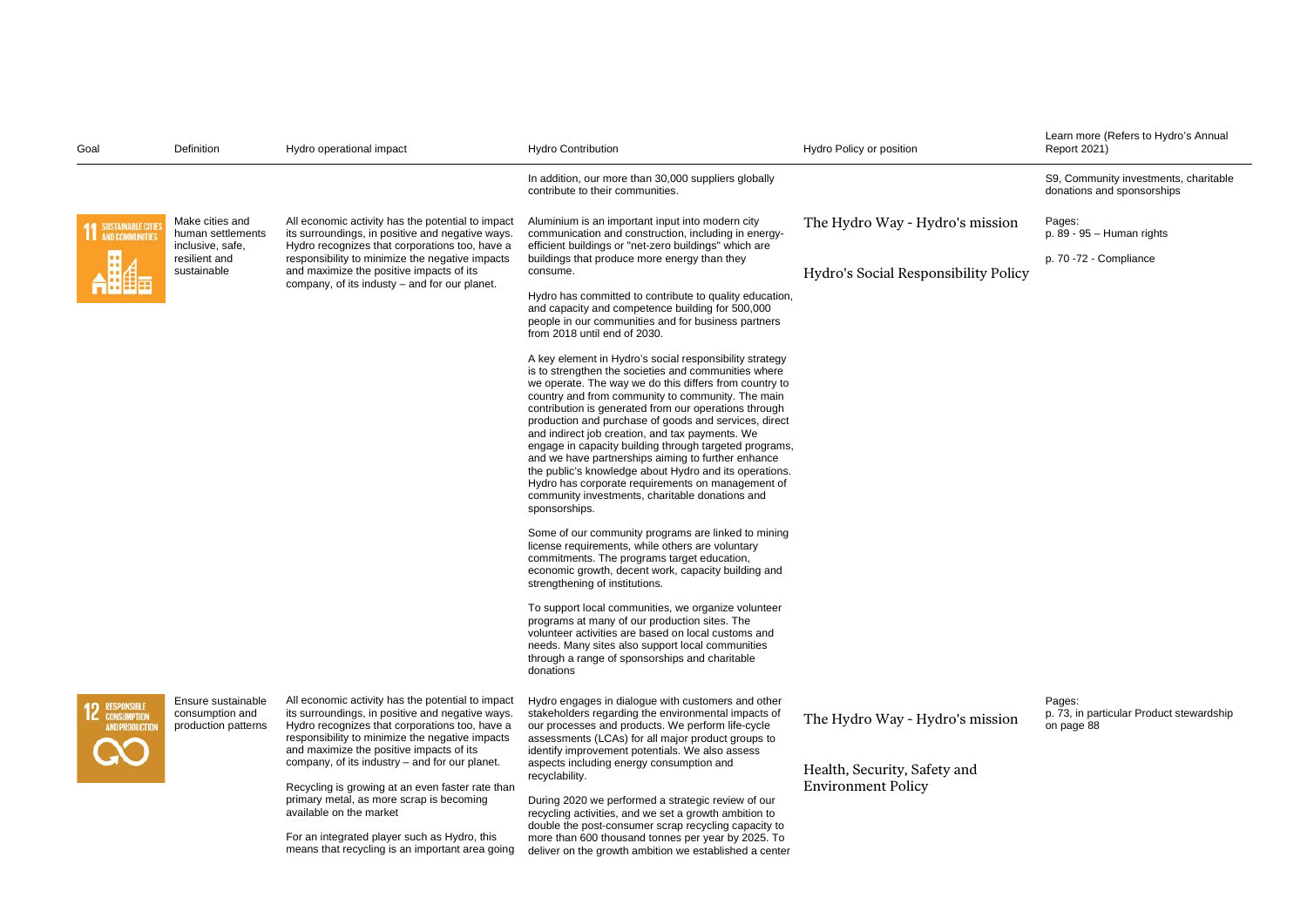| Goal                                                | Definition                                                   | Hydro operational impact                                                                                                                                                                                                                                                                                 | <b>Hydro Contribution</b>                                                                                                                                                                                                                                                                                                                                                                                                                                                                                                                                                                                                                                                                              | Hydro Policy or position                                  | Learn more (Refers to Hydro's Annual<br>Report 2021)                |
|-----------------------------------------------------|--------------------------------------------------------------|----------------------------------------------------------------------------------------------------------------------------------------------------------------------------------------------------------------------------------------------------------------------------------------------------------|--------------------------------------------------------------------------------------------------------------------------------------------------------------------------------------------------------------------------------------------------------------------------------------------------------------------------------------------------------------------------------------------------------------------------------------------------------------------------------------------------------------------------------------------------------------------------------------------------------------------------------------------------------------------------------------------------------|-----------------------------------------------------------|---------------------------------------------------------------------|
|                                                     |                                                              |                                                                                                                                                                                                                                                                                                          | In addition, our more than 30,000 suppliers globally<br>contribute to their communities.                                                                                                                                                                                                                                                                                                                                                                                                                                                                                                                                                                                                               |                                                           | S9, Community investments, charitable<br>donations and sponsorships |
| SUSTAINABLE CITIE<br><b>AND COMMUNITIES</b>         | Make cities and<br>human settlements<br>inclusive, safe,     | All economic activity has the potential to impact<br>its surroundings, in positive and negative ways.<br>Hydro recognizes that corporations too, have a                                                                                                                                                  | Aluminium is an important input into modern city<br>communication and construction, including in energy-<br>efficient buildings or "net-zero buildings" which are                                                                                                                                                                                                                                                                                                                                                                                                                                                                                                                                      | The Hydro Way - Hydro's mission                           | Pages:<br>$p. 89 - 95 - Human rights$                               |
|                                                     | resilient and<br>sustainable                                 | responsibility to minimize the negative impacts<br>and maximize the positive impacts of its<br>company, of its industy - and for our planet.                                                                                                                                                             | buildings that produce more energy than they<br>consume.                                                                                                                                                                                                                                                                                                                                                                                                                                                                                                                                                                                                                                               | Hydro's Social Responsibility Policy                      | p. 70 -72 - Compliance                                              |
|                                                     |                                                              |                                                                                                                                                                                                                                                                                                          | Hydro has committed to contribute to quality education,<br>and capacity and competence building for 500,000<br>people in our communities and for business partners<br>from 2018 until end of 2030.                                                                                                                                                                                                                                                                                                                                                                                                                                                                                                     |                                                           |                                                                     |
|                                                     |                                                              |                                                                                                                                                                                                                                                                                                          | A key element in Hydro's social responsibility strategy<br>is to strengthen the societies and communities where<br>we operate. The way we do this differs from country to<br>country and from community to community. The main<br>contribution is generated from our operations through<br>production and purchase of goods and services, direct<br>and indirect job creation, and tax payments. We<br>engage in capacity building through targeted programs,<br>and we have partnerships aiming to further enhance<br>the public's knowledge about Hydro and its operations.<br>Hydro has corporate requirements on management of<br>community investments, charitable donations and<br>sponsorships. |                                                           |                                                                     |
|                                                     |                                                              |                                                                                                                                                                                                                                                                                                          | Some of our community programs are linked to mining<br>license requirements, while others are voluntary<br>commitments. The programs target education,<br>economic growth, decent work, capacity building and<br>strengthening of institutions.                                                                                                                                                                                                                                                                                                                                                                                                                                                        |                                                           |                                                                     |
|                                                     |                                                              |                                                                                                                                                                                                                                                                                                          | To support local communities, we organize volunteer<br>programs at many of our production sites. The<br>volunteer activities are based on local customs and<br>needs. Many sites also support local communities<br>through a range of sponsorships and charitable<br>donations                                                                                                                                                                                                                                                                                                                                                                                                                         |                                                           |                                                                     |
| <b>RESPONSIBLE</b><br>Consumption<br>AND PRODUCTION | Ensure sustainable<br>consumption and<br>production patterns | All economic activity has the potential to impact<br>its surroundings, in positive and negative ways.<br>Hydro recognizes that corporations too, have a<br>responsibility to minimize the negative impacts<br>and maximize the positive impacts of its<br>company, of its industry – and for our planet. | Hydro engages in dialogue with customers and other<br>stakeholders regarding the environmental impacts of<br>our processes and products. We perform life-cycle<br>assessments (LCAs) for all major product groups to<br>identify improvement potentials. We also assess<br>aspects including energy consumption and                                                                                                                                                                                                                                                                                                                                                                                    | The Hydro Way - Hydro's mission                           | Pages:<br>p. 73, in particular Product stewardship<br>on page 88    |
|                                                     |                                                              | Recycling is growing at an even faster rate than<br>primary metal, as more scrap is becoming<br>available on the market<br>For an integrated player such as Hydro, this<br>means that recycling is an important area going                                                                               | recyclability.<br>During 2020 we performed a strategic review of our<br>recycling activities, and we set a growth ambition to<br>double the post-consumer scrap recycling capacity to<br>more than 600 thousand tonnes per year by 2025. To<br>deliver on the growth ambition we established a center                                                                                                                                                                                                                                                                                                                                                                                                  | Health, Security, Safety and<br><b>Environment Policy</b> |                                                                     |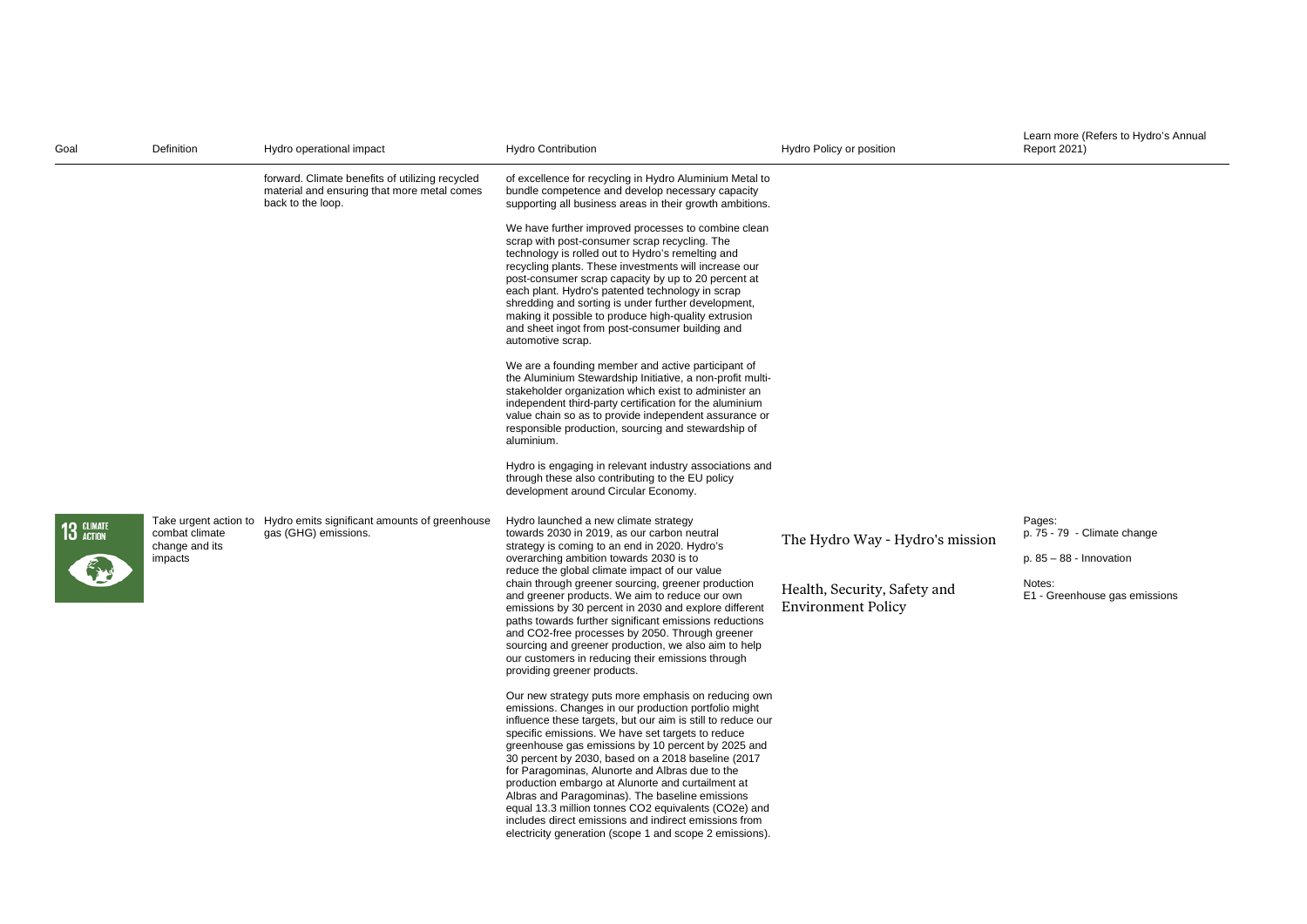| Goal       | Definition                                  | Hydro operational impact                                                                                            | <b>Hydro Contribution</b>                                                                                                                                                                                                                                                                                                                                                                                                                                                                                                                                                                                                                                                           | Hydro Policy or position                                  | Learn more (Refers to Hydro's Annual<br><b>Report 2021)</b>        |
|------------|---------------------------------------------|---------------------------------------------------------------------------------------------------------------------|-------------------------------------------------------------------------------------------------------------------------------------------------------------------------------------------------------------------------------------------------------------------------------------------------------------------------------------------------------------------------------------------------------------------------------------------------------------------------------------------------------------------------------------------------------------------------------------------------------------------------------------------------------------------------------------|-----------------------------------------------------------|--------------------------------------------------------------------|
|            |                                             | forward. Climate benefits of utilizing recycled<br>material and ensuring that more metal comes<br>back to the loop. | of excellence for recycling in Hydro Aluminium Metal to<br>bundle competence and develop necessary capacity<br>supporting all business areas in their growth ambitions.                                                                                                                                                                                                                                                                                                                                                                                                                                                                                                             |                                                           |                                                                    |
|            |                                             |                                                                                                                     | We have further improved processes to combine clean<br>scrap with post-consumer scrap recycling. The<br>technology is rolled out to Hydro's remelting and<br>recycling plants. These investments will increase our<br>post-consumer scrap capacity by up to 20 percent at<br>each plant. Hydro's patented technology in scrap<br>shredding and sorting is under further development,<br>making it possible to produce high-quality extrusion<br>and sheet ingot from post-consumer building and<br>automotive scrap.                                                                                                                                                                |                                                           |                                                                    |
|            |                                             |                                                                                                                     | We are a founding member and active participant of<br>the Aluminium Stewardship Initiative, a non-profit multi-<br>stakeholder organization which exist to administer an<br>independent third-party certification for the aluminium<br>value chain so as to provide independent assurance or<br>responsible production, sourcing and stewardship of<br>aluminium.                                                                                                                                                                                                                                                                                                                   |                                                           |                                                                    |
|            |                                             |                                                                                                                     | Hydro is engaging in relevant industry associations and<br>through these also contributing to the EU policy<br>development around Circular Economy.                                                                                                                                                                                                                                                                                                                                                                                                                                                                                                                                 |                                                           |                                                                    |
| 13 GLIMATE | combat climate<br>change and its<br>impacts | Take urgent action to Hydro emits significant amounts of greenhouse<br>gas (GHG) emissions.                         | Hydro launched a new climate strategy<br>towards 2030 in 2019, as our carbon neutral<br>strategy is coming to an end in 2020. Hydro's<br>overarching ambition towards 2030 is to<br>reduce the global climate impact of our value                                                                                                                                                                                                                                                                                                                                                                                                                                                   | The Hydro Way - Hydro's mission                           | Pages:<br>p. 75 - 79 - Climate change<br>$p. 85 - 88 - Innovation$ |
|            |                                             |                                                                                                                     | chain through greener sourcing, greener production<br>and greener products. We aim to reduce our own<br>emissions by 30 percent in 2030 and explore different<br>paths towards further significant emissions reductions<br>and CO2-free processes by 2050. Through greener<br>sourcing and greener production, we also aim to help<br>our customers in reducing their emissions through<br>providing greener products.                                                                                                                                                                                                                                                              | Health, Security, Safety and<br><b>Environment Policy</b> | Notes:<br>E1 - Greenhouse gas emissions                            |
|            |                                             |                                                                                                                     | Our new strategy puts more emphasis on reducing own<br>emissions. Changes in our production portfolio might<br>influence these targets, but our aim is still to reduce our<br>specific emissions. We have set targets to reduce<br>greenhouse gas emissions by 10 percent by 2025 and<br>30 percent by 2030, based on a 2018 baseline (2017)<br>for Paragominas, Alunorte and Albras due to the<br>production embargo at Alunorte and curtailment at<br>Albras and Paragominas). The baseline emissions<br>equal 13.3 million tonnes CO2 equivalents (CO2e) and<br>includes direct emissions and indirect emissions from<br>electricity generation (scope 1 and scope 2 emissions). |                                                           |                                                                    |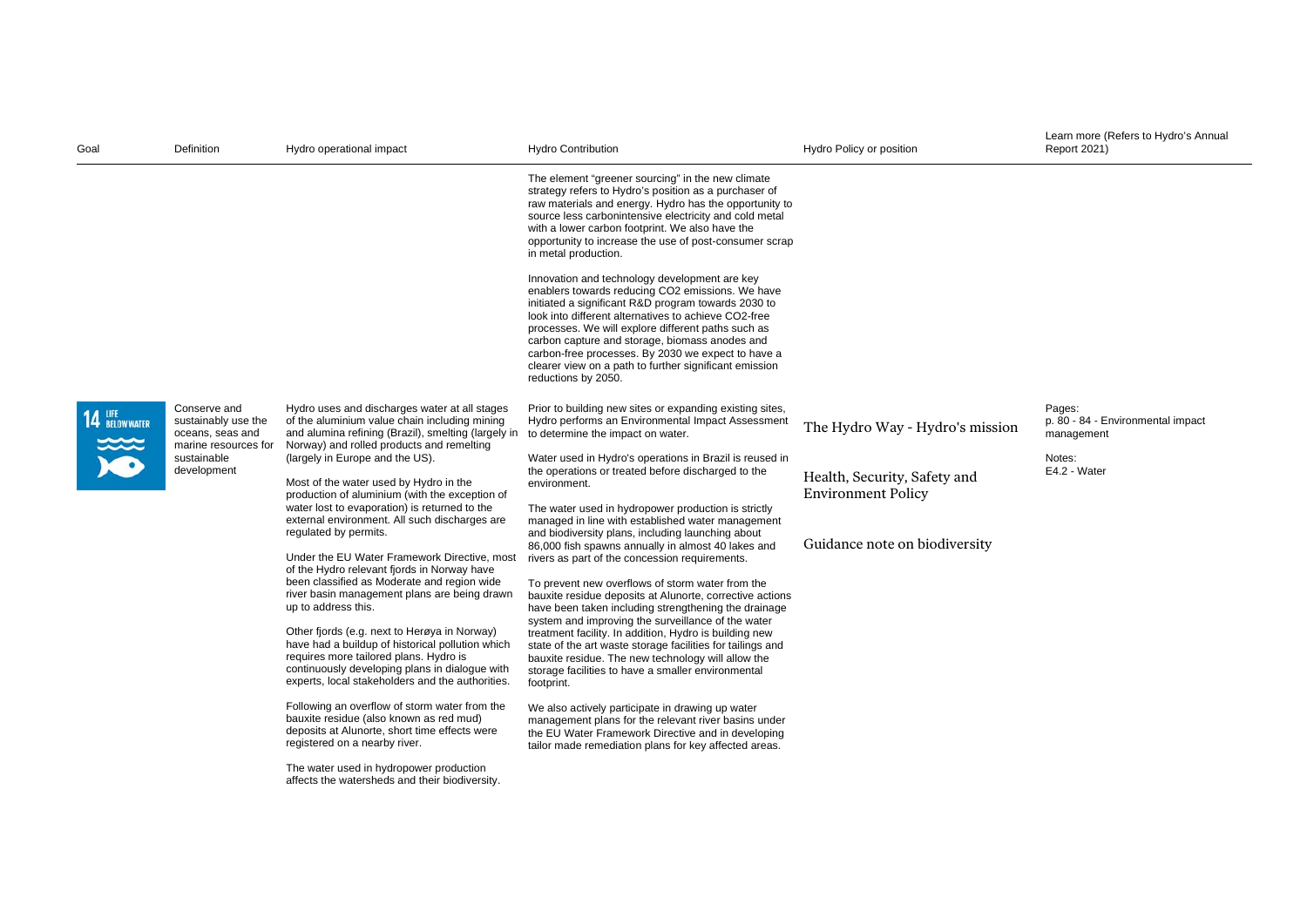| Goal                  | Definition                                                                                                    | Hydro operational impact                                                                                                                                                                                                                                                                                                                                                                                                                                                                                                                                                                                                                                                                                                                                                                                                                                                                                                                                                                                                                                                                                                                                                                                                                           | <b>Hydro Contribution</b>                                                                                                                                                                                                                                                                                                                                                                                                                                                                                                                                                                                                                                                                                                                                                                                                                                                                                                                                                                                                                                                                                                                                                                                                          | Hydro Policy or position                                                                                                      | Learn more (Refers to Hydro's Annual<br><b>Report 2021)</b>                         |
|-----------------------|---------------------------------------------------------------------------------------------------------------|----------------------------------------------------------------------------------------------------------------------------------------------------------------------------------------------------------------------------------------------------------------------------------------------------------------------------------------------------------------------------------------------------------------------------------------------------------------------------------------------------------------------------------------------------------------------------------------------------------------------------------------------------------------------------------------------------------------------------------------------------------------------------------------------------------------------------------------------------------------------------------------------------------------------------------------------------------------------------------------------------------------------------------------------------------------------------------------------------------------------------------------------------------------------------------------------------------------------------------------------------|------------------------------------------------------------------------------------------------------------------------------------------------------------------------------------------------------------------------------------------------------------------------------------------------------------------------------------------------------------------------------------------------------------------------------------------------------------------------------------------------------------------------------------------------------------------------------------------------------------------------------------------------------------------------------------------------------------------------------------------------------------------------------------------------------------------------------------------------------------------------------------------------------------------------------------------------------------------------------------------------------------------------------------------------------------------------------------------------------------------------------------------------------------------------------------------------------------------------------------|-------------------------------------------------------------------------------------------------------------------------------|-------------------------------------------------------------------------------------|
|                       |                                                                                                               |                                                                                                                                                                                                                                                                                                                                                                                                                                                                                                                                                                                                                                                                                                                                                                                                                                                                                                                                                                                                                                                                                                                                                                                                                                                    | The element "greener sourcing" in the new climate<br>strategy refers to Hydro's position as a purchaser of<br>raw materials and energy. Hydro has the opportunity to<br>source less carbonintensive electricity and cold metal<br>with a lower carbon footprint. We also have the<br>opportunity to increase the use of post-consumer scrap<br>in metal production.<br>Innovation and technology development are key<br>enablers towards reducing CO2 emissions. We have<br>initiated a significant R&D program towards 2030 to<br>look into different alternatives to achieve CO2-free<br>processes. We will explore different paths such as<br>carbon capture and storage, biomass anodes and<br>carbon-free processes. By 2030 we expect to have a<br>clearer view on a path to further significant emission<br>reductions by 2050.                                                                                                                                                                                                                                                                                                                                                                                             |                                                                                                                               |                                                                                     |
| 14 UFE<br>BELOW WATER | Conserve and<br>sustainably use the<br>oceans, seas and<br>marine resources for<br>sustainable<br>development | Hydro uses and discharges water at all stages<br>of the aluminium value chain including mining<br>and alumina refining (Brazil), smelting (largely in to determine the impact on water.<br>Norway) and rolled products and remelting<br>(largely in Europe and the US).<br>Most of the water used by Hydro in the<br>production of aluminium (with the exception of<br>water lost to evaporation) is returned to the<br>external environment. All such discharges are<br>regulated by permits.<br>Under the EU Water Framework Directive, most<br>of the Hydro relevant fjords in Norway have<br>been classified as Moderate and region wide<br>river basin management plans are being drawn<br>up to address this.<br>Other fjords (e.g. next to Herøya in Norway)<br>have had a buildup of historical pollution which<br>requires more tailored plans. Hydro is<br>continuously developing plans in dialogue with<br>experts, local stakeholders and the authorities.<br>Following an overflow of storm water from the<br>bauxite residue (also known as red mud)<br>deposits at Alunorte, short time effects were<br>registered on a nearby river.<br>The water used in hydropower production<br>affects the watersheds and their biodiversity. | Prior to building new sites or expanding existing sites,<br>Hydro performs an Environmental Impact Assessment<br>Water used in Hydro's operations in Brazil is reused in<br>the operations or treated before discharged to the<br>environment.<br>The water used in hydropower production is strictly<br>managed in line with established water management<br>and biodiversity plans, including launching about<br>86,000 fish spawns annually in almost 40 lakes and<br>rivers as part of the concession requirements.<br>To prevent new overflows of storm water from the<br>bauxite residue deposits at Alunorte, corrective actions<br>have been taken including strengthening the drainage<br>system and improving the surveillance of the water<br>treatment facility. In addition, Hydro is building new<br>state of the art waste storage facilities for tailings and<br>bauxite residue. The new technology will allow the<br>storage facilities to have a smaller environmental<br>footprint.<br>We also actively participate in drawing up water<br>management plans for the relevant river basins under<br>the EU Water Framework Directive and in developing<br>tailor made remediation plans for key affected areas. | The Hydro Way - Hydro's mission<br>Health, Security, Safety and<br><b>Environment Policy</b><br>Guidance note on biodiversity | Pages:<br>p. 80 - 84 - Environmental impact<br>management<br>Notes:<br>E4.2 - Water |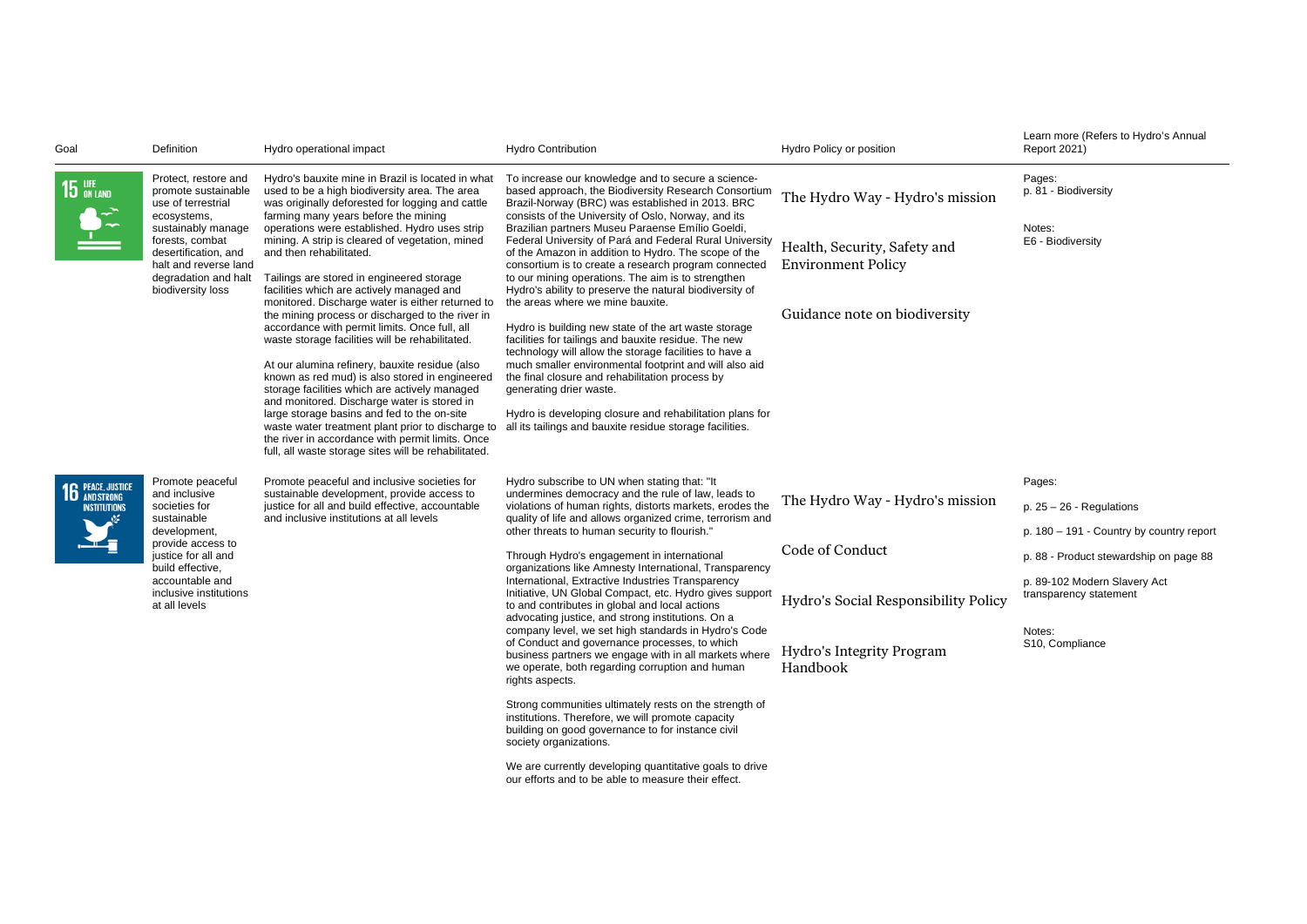| Goal                                     | Definition                                                                                                                                                                                                              | Hydro operational impact                                                                                                                                                                                                                                                                                                                                                                                                                                                                                                                                                                                                                                                                                                                                                                                                                                                                                                                                                                                                                                | <b>Hydro Contribution</b>                                                                                                                                                                                                                                                                                                                                                                                                                                                                                                                                                                                                                                                                                                                                                                                                                                                                                                                                                                                                                                                                                                                                            | Hydro Policy or position                                                                                                            | Learn more (Refers to Hydro's Annual<br><b>Report 2021)</b>                                                                                                                                                         |
|------------------------------------------|-------------------------------------------------------------------------------------------------------------------------------------------------------------------------------------------------------------------------|---------------------------------------------------------------------------------------------------------------------------------------------------------------------------------------------------------------------------------------------------------------------------------------------------------------------------------------------------------------------------------------------------------------------------------------------------------------------------------------------------------------------------------------------------------------------------------------------------------------------------------------------------------------------------------------------------------------------------------------------------------------------------------------------------------------------------------------------------------------------------------------------------------------------------------------------------------------------------------------------------------------------------------------------------------|----------------------------------------------------------------------------------------------------------------------------------------------------------------------------------------------------------------------------------------------------------------------------------------------------------------------------------------------------------------------------------------------------------------------------------------------------------------------------------------------------------------------------------------------------------------------------------------------------------------------------------------------------------------------------------------------------------------------------------------------------------------------------------------------------------------------------------------------------------------------------------------------------------------------------------------------------------------------------------------------------------------------------------------------------------------------------------------------------------------------------------------------------------------------|-------------------------------------------------------------------------------------------------------------------------------------|---------------------------------------------------------------------------------------------------------------------------------------------------------------------------------------------------------------------|
| $15$ ON LAND                             | Protect, restore and<br>promote sustainable<br>use of terrestrial<br>ecosystems,<br>sustainably manage<br>forests, combat<br>desertification, and<br>halt and reverse land<br>degradation and halt<br>biodiversity loss | Hydro's bauxite mine in Brazil is located in what<br>used to be a high biodiversity area. The area<br>was originally deforested for logging and cattle<br>farming many years before the mining<br>operations were established. Hydro uses strip<br>mining. A strip is cleared of vegetation, mined<br>and then rehabilitated.<br>Tailings are stored in engineered storage<br>facilities which are actively managed and<br>monitored. Discharge water is either returned to<br>the mining process or discharged to the river in<br>accordance with permit limits. Once full, all<br>waste storage facilities will be rehabilitated.<br>At our alumina refinery, bauxite residue (also<br>known as red mud) is also stored in engineered<br>storage facilities which are actively managed<br>and monitored. Discharge water is stored in<br>large storage basins and fed to the on-site<br>waste water treatment plant prior to discharge to<br>the river in accordance with permit limits. Once<br>full, all waste storage sites will be rehabilitated. | To increase our knowledge and to secure a science-<br>based approach, the Biodiversity Research Consortium<br>Brazil-Norway (BRC) was established in 2013. BRC<br>consists of the University of Oslo, Norway, and its<br>Brazilian partners Museu Paraense Emílio Goeldi,<br>Federal University of Pará and Federal Rural University<br>of the Amazon in addition to Hydro. The scope of the<br>consortium is to create a research program connected<br>to our mining operations. The aim is to strengthen<br>Hydro's ability to preserve the natural biodiversity of<br>the areas where we mine bauxite.<br>Hydro is building new state of the art waste storage<br>facilities for tailings and bauxite residue. The new<br>technology will allow the storage facilities to have a<br>much smaller environmental footprint and will also aid<br>the final closure and rehabilitation process by<br>generating drier waste.<br>Hydro is developing closure and rehabilitation plans for<br>all its tailings and bauxite residue storage facilities.                                                                                                                  | The Hydro Way - Hydro's mission<br>Health, Security, Safety and<br><b>Environment Policy</b><br>Guidance note on biodiversity       | Pages:<br>p. 81 - Biodiversity<br>Notes:<br>E6 - Biodiversity                                                                                                                                                       |
| <b>16</b> PEACE, JUSTICE<br>INSTITUTIONS | Promote peaceful<br>and inclusive<br>societies for<br>sustainable<br>development,<br>provide access to<br>justice for all and<br>build effective,<br>accountable and<br>inclusive institutions<br>at all levels         | Promote peaceful and inclusive societies for<br>sustainable development, provide access to<br>justice for all and build effective, accountable<br>and inclusive institutions at all levels                                                                                                                                                                                                                                                                                                                                                                                                                                                                                                                                                                                                                                                                                                                                                                                                                                                              | Hydro subscribe to UN when stating that: "It<br>undermines democracy and the rule of law, leads to<br>violations of human rights, distorts markets, erodes the<br>quality of life and allows organized crime, terrorism and<br>other threats to human security to flourish."<br>Through Hydro's engagement in international<br>organizations like Amnesty International, Transparency<br>International, Extractive Industries Transparency<br>Initiative, UN Global Compact, etc. Hydro gives support<br>to and contributes in global and local actions<br>advocating justice, and strong institutions. On a<br>company level, we set high standards in Hydro's Code<br>of Conduct and governance processes, to which<br>business partners we engage with in all markets where<br>we operate, both regarding corruption and human<br>rights aspects.<br>Strong communities ultimately rests on the strength of<br>institutions. Therefore, we will promote capacity<br>building on good governance to for instance civil<br>society organizations.<br>We are currently developing quantitative goals to drive<br>our efforts and to be able to measure their effect. | The Hydro Way - Hydro's mission<br>Code of Conduct<br>Hydro's Social Responsibility Policy<br>Hydro's Integrity Program<br>Handbook | Pages:<br>$p. 25 - 26 - Regularations$<br>p. 180 - 191 - Country by country report<br>p. 88 - Product stewardship on page 88<br>p. 89-102 Modern Slavery Act<br>transparency statement<br>Notes:<br>S10, Compliance |